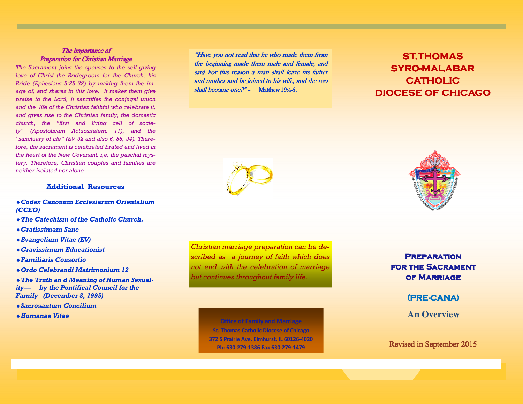### The importance of **Preparation for Christian Marriage**

 *The Sacrament joins the spouses to the self-giving love of Christ the Bridegroom for the Church, his Bride (Ephesians 5:25-32) by making them the image of, and shares in this love. It makes them give praise to the Lord, it sanctifies the conjugal union and the life of the Christian faithful who celebrate it, and gives rise to the Christian family, the domestic church, the "first and living cell of society" (Apostolicam Actuositatem, 11), and the "sanctuary of life" (EV 92 and also 6, 88, 94). Therefore, the sacrament is celebrated brated and lived in the heart of the New Covenant, i,e, the paschal mys tery. Therefore, Christian couples and families are neither isolated nor alone.*

### **Additional Resources**

- ♦*Codex Canonum Ecclesiarum Orientalium (CCEO)*
- ♦*The Catechism of the Catholic Church.*
- ♦*Gratissimam Sane*
- ♦*Evangelium Vitae (EV)*
- ♦*Gravissimum Educationist*
- ♦*Familiaris Consortio*
- ♦*Ordo Celebrandi Matrimonium 12*

♦*The Truth an d Meaning of Human Sexuality— by the Pontifical Council for the Family (December 8, 1995)* 

- ♦*Sacrosantum Concilium*
- ♦*Humanae Vitae*

"Have you not read that he who made them from the beginning made them male and female, and said For this reason a man shall leave his father and mother and be joined to his wife, and the two *shall become one?"* - Matthew 19:4-5.

# **ST.THOMAS SYRO-MALABAR CATHOLIC DIOCESE OF CHICAGO CHICAGO**





# **Office of Family and Marriage**

**St. Thomas Catholic Diocese of Chicago 372 S Prairie Ave. Elmhurst, IL 60126-4020 Ph: 630-279-1386 Fax 630-279-1479** 



**Preparation FOR THE SACRAMENT OF MARRIAGE** 

**(PRE-CANA)** 

**An Overview** 

## Revised in September 2015